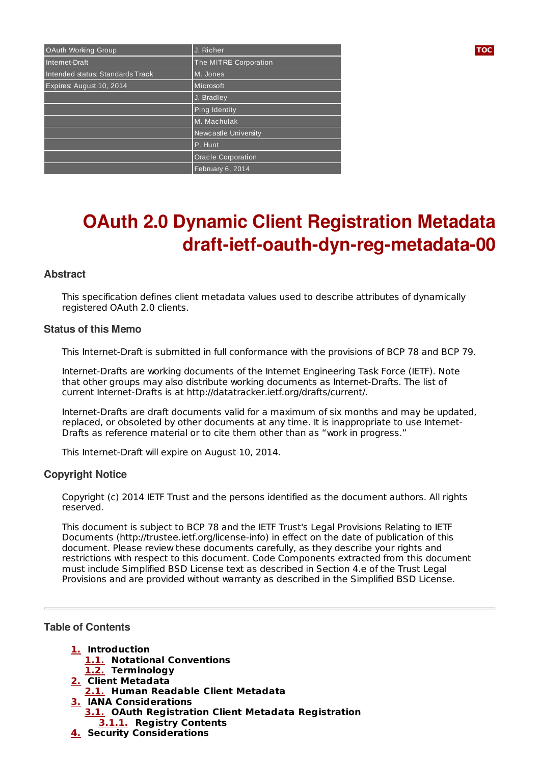| OAuth Working Group              | J. Richer             | <b>TOC</b> |
|----------------------------------|-----------------------|------------|
| Internet-Draft                   | The MITRE Corporation |            |
| Intended status: Standards Track | M. Jones              |            |
| Expires: August 10, 2014         | Microsoft             |            |
|                                  | J. Bradley            |            |
|                                  | Ping Identity         |            |
|                                  | M. Machulak           |            |
|                                  | Newcastle University  |            |
|                                  | P. Hunt               |            |
|                                  | Oracle Corporation    |            |
|                                  | February 6, 2014      |            |

# **OAuth 2.0 Dynamic Client Registration Metadata draft-ietf-oauth-dyn-reg-metadata-00**

## **Abstract**

This specification defines client metadata values used to describe attributes of dynamically registered OAuth 2.0 clients.

#### **Status of this Memo**

This Internet-Draft is submitted in full conformance with the provisions of BCP 78 and BCP 79.

Internet-Drafts are working documents of the Internet Engineering Task Force (IETF). Note that other groups may also distribute working documents as Internet-Drafts. The list of current Internet-Drafts is at http://datatracker.ietf.org/drafts/current/.

Internet-Drafts are draft documents valid for a maximum of six months and may be updated, replaced, or obsoleted by other documents at any time. It is inappropriate to use Internet-Drafts as reference material or to cite them other than as "work in progress."

This Internet-Draft will expire on August 10, 2014.

# **Copyright Notice**

Copyright (c) 2014 IETF Trust and the persons identified as the document authors. All rights reserved.

This document is subject to BCP 78 and the IETF Trust's Legal Provisions Relating to IETF Documents (http://trustee.ietf.org/license-info) in effect on the date of publication of this document. Please review these documents carefully, as they describe your rights and restrictions with respect to this document. Code Components extracted from this document must include Simplified BSD License text as described in Section 4.e of the Trust Legal Provisions and are provided without warranty as described in the Simplified BSD License.

#### <span id="page-0-0"></span>**Table of Contents**

- **[1.](#page-1-0) Introduction [1.1.](#page-1-1) Notational Conventions [1.2.](#page-1-2) Terminology**
- **[2.](#page-1-3) Client Metadata**
- **[2.1.](#page-2-0) Human Readable Client Metadata**
- **[3.](#page-3-0) IANA Considerations**
- **[3.1.](#page-3-1) OAuth Registration Client Metadata Registration [3.1.1.](#page-3-2) Registry Contents**
- **[4.](#page-4-0) Security Considerations**

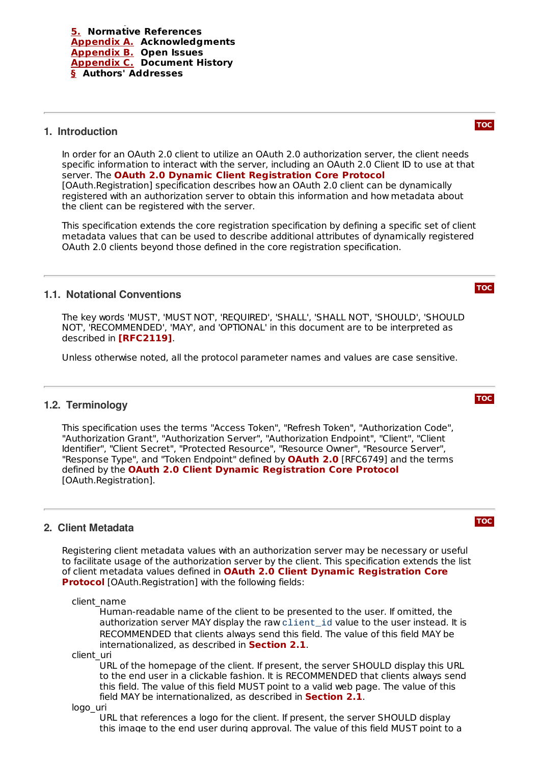## <span id="page-1-0"></span>**1. Introduction**

In order for an OAuth 2.0 client to utilize an OAuth 2.0 authorization server, the client needs specific information to interact with the server, including an OAuth 2.0 Client ID to use at that server. The **OAuth 2.0 Dynamic Client [Registration](#page-4-2) Core Protocol** [OAuth.Registration] specification describes how an OAuth 2.0 client can be dynamically registered with an authorization server to obtain this information and how metadata about the client can be registered with the server.

This specification extends the core registration specification by defining a specific set of client metadata values that can be used to describe additional attributes of dynamically registered OAuth 2.0 clients beyond those defined in the core registration specification.

## <span id="page-1-1"></span>**1.1. Notational Conventions**

The key words 'MUST', 'MUST NOT', 'REQUIRED', 'SHALL', 'SHALL NOT', 'SHOULD', 'SHOULD NOT', 'RECOMMENDED', 'MAY', and 'OPTIONAL' in this document are to be interpreted as described in **[\[RFC2119\]](#page-5-4)**.

<span id="page-1-2"></span>Unless otherwise noted, all the protocol parameter names and values are case sensitive.

#### **1.2. Terminology**

This specification uses the terms "Access Token", "Refresh Token", "Authorization Code", "Authorization Grant", "Authorization Server", "Authorization Endpoint", "Client", "Client Identifier", "Client Secret", "Protected Resource", "Resource Owner", "Resource Server", "Response Type", and "Token Endpoint" defined by **[OAuth](#page-5-5) 2.0** [RFC6749] and the terms defined by the **OAuth 2.0 Client Dynamic [Registration](#page-4-2) Core Protocol** [OAuth.Registration].

#### <span id="page-1-3"></span>**2. Client Metadata**

Registering client metadata values with an authorization server may be necessary or useful to facilitate usage of the authorization server by the client. This specification extends the list of client metadata values defined in **OAuth 2.0 Client Dynamic Registration Core Protocol** [\[OAuth.Registration\]](#page-4-2) with the following fields:

client\_name

Human-readable name of the client to be presented to the user. If omitted, the authorization server MAY display the raw client\_id value to the user instead. It is RECOMMENDED that clients always send this field. The value of this field MAY be internationalized, as described in **[Section](#page-2-0) 2.1**.

client\_uri

URL of the homepage of the client. If present, the server SHOULD display this URL to the end user in a clickable fashion. It is RECOMMENDED that clients always send this field. The value of this field MUST point to a valid web page. The value of this field MAY be internationalized, as described in **[Section](#page-2-0) 2.1**.

logo\_uri

URL that references a logo for the client. If present, the server SHOULD display this image to the end user during approval. The value of this field MUST point to a

**[TOC](#page-0-0)**

**[TOC](#page-0-0)**



**[TOC](#page-0-0)**



**[TOC](#page-0-0)**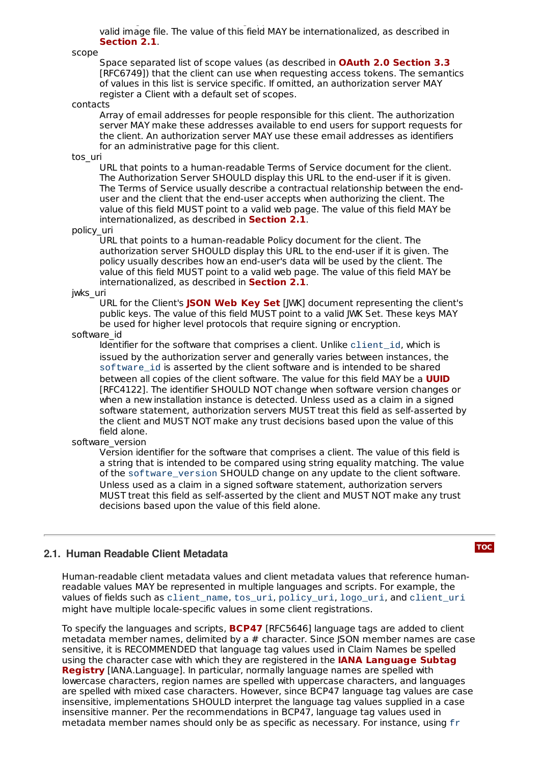this image to the end user during approval. The value of this field MUST point to a valid image file. The value of this field MAY be internationalized, as described in . **[Section](#page-2-0) 2.1**

scope

Space separated list of scope values (as described in **OAuth 2.0 [Section](#page-5-5) 3.3** [RFC6749]) that the client can use when requesting access tokens. The semantics of values in this list is service specific. If omitted, an authorization server MAY register a Client with a default set of scopes.

#### contacts

Array of email addresses for people responsible for this client. The authorization server MAY make these addresses available to end users for support requests for the client. An authorization server MAY use these email addresses as identifiers for an administrative page for this client.

tos\_uri

URL that points to a human-readable Terms of Service document for the client. The Authorization Server SHOULD display this URL to the end-user if it is given. The Terms of Service usually describe a contractual relationship between the enduser and the client that the end-user accepts when authorizing the client. The value of this field MUST point to a valid web page. The value of this field MAY be internationalized, as described in **[Section](#page-2-0) 2.1**.

#### policy\_uri

URL that points to a human-readable Policy document for the client. The authorization server SHOULD display this URL to the end-user if it is given. The policy usually describes how an end-user's data will be used by the client. The value of this field MUST point to a valid web page. The value of this field MAY be internationalized, as described in **[Section](#page-2-0) 2.1**.

#### jwks\_uri

URL for the Client's **[JSON](#page-4-3) Web Key Set** [JWK] document representing the client's public keys. The value of this field MUST point to a valid JWK Set. These keys MAY be used for higher level protocols that require signing or encryption.

#### software\_id

Identifier for the software that comprises a client. Unlike client id, which is issued by the authorization server and generally varies between instances, the software id is asserted by the client software and is intended to be shared between all copies of the client software. The value for this field MAY be a **[UUID](#page-5-6)** [RFC4122]. The identifier SHOULD NOT change when software version changes or when a new installation instance is detected. Unless used as a claim in a signed software statement, authorization servers MUST treat this field as self-asserted by the client and MUST NOT make any trust decisions based upon the value of this field alone.

#### software\_version

Version identifier for the software that comprises a client. The value of this field is a string that is intended to be compared using string equality matching. The value of the software version SHOULD change on any update to the client software. Unless used as a claim in a signed software statement, authorization servers MUST treat this field as self-asserted by the client and MUST NOT make any trust decisions based upon the value of this field alone.

#### <span id="page-2-0"></span>**2.1. Human Readable Client Metadata**

**[TOC](#page-0-0)**

Human-readable client metadata values and client metadata values that reference humanreadable values MAY be represented in multiple languages and scripts. For example, the values of fields such as client\_name, tos\_uri, policy\_uri, logo\_uri, and client\_uri might have multiple locale-specific values in some client registrations.

To specify the languages and scripts, **[BCP47](#page-5-7)** [RFC5646] language tags are added to client metadata member names, delimited by a # character. Since JSON member names are case sensitive, it is RECOMMENDED that language tag values used in Claim Names be spelled using the character case with which they are registered in the **IANA Language Subtag Registry** [\[IANA.Language\].](#page-4-4) In particular, normally language names are spelled with lowercase characters, region names are spelled with uppercase characters, and languages are spelled with mixed case characters. However, since BCP47 language tag values are case insensitive, implementations SHOULD interpret the language tag values supplied in a case insensitive manner. Per the recommendations in BCP47, language tag values used in metadata member names should only be as specific as necessary. For instance, using fr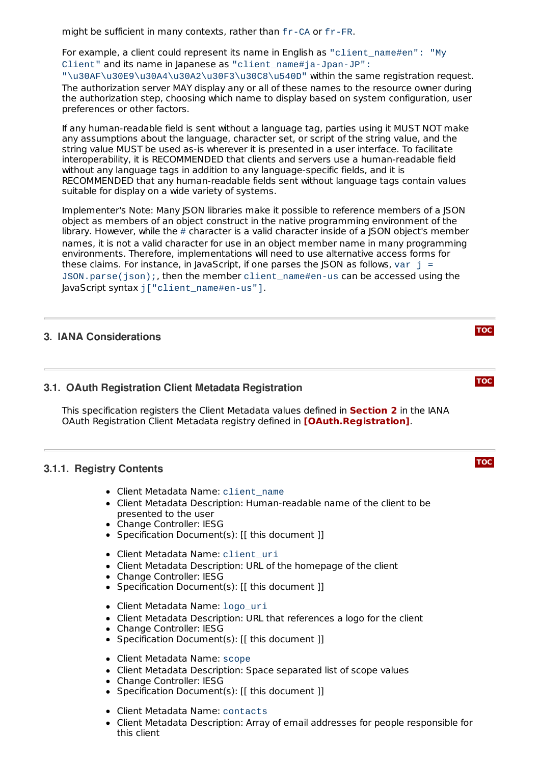might be sufficient in many contexts, rather than fr-CA or fr-FR.

For example, a client could represent its name in English as "client\_name#en": "My Client" and its name in Japanese as "client\_name#ja-Jpan-JP":

"\u30AF\u30E9\u30A4\u30A2\u30F3\u30C8\u540D" within the same registration request. The authorization server MAY display any or all of these names to the resource owner during the authorization step, choosing which name to display based on system configuration, user preferences or other factors.

If any human-readable field is sent without a language tag, parties using it MUST NOT make any assumptions about the language, character set, or script of the string value, and the string value MUST be used as-is wherever it is presented in a user interface. To facilitate interoperability, it is RECOMMENDED that clients and servers use a human-readable field without any language tags in addition to any language-specific fields, and it is RECOMMENDED that any human-readable fields sent without language tags contain values suitable for display on a wide variety of systems.

Implementer's Note: Many JSON libraries make it possible to reference members of a JSON object as members of an object construct in the native programming environment of the library. However, while the  $\#$  character is a valid character inside of a JSON object's member names, it is not a valid character for use in an object member name in many programming environments. Therefore, implementations will need to use alternative access forms for these claims. For instance, in JavaScript, if one parses the JSON as follows, var  $j =$ JSON.parse(json);, then the member client\_name#en-us can be accessed using the JavaScript syntax j["client\_name#en-us"].

**[TOC](#page-0-0)**

**[TOC](#page-0-0)**

**[TOC](#page-0-0)**

# <span id="page-3-1"></span><span id="page-3-0"></span>**3. IANA Considerations**

#### **3.1. OAuth Registration Client Metadata Registration**

This specification registers the Client Metadata values defined in **[Section](#page-1-3) 2** in the IANA OAuth Registration Client Metadata registry defined in **[\[OAuth.Registration\]](#page-4-2)**.

# <span id="page-3-2"></span>**3.1.1. Registry Contents**

- Client Metadata Name: client\_name
- Client Metadata Description: Human-readable name of the client to be presented to the user
- Change Controller: IESG
- Specification Document(s): [[ this document ]]
- Client Metadata Name: client uri
- Client Metadata Description: URL of the homepage of the client
- Change Controller: IESG
- Specification Document(s): [[ this document ]]
- Client Metadata Name: logo\_uri
- Client Metadata Description: URL that references a logo for the client
- Change Controller: IESG
- Specification Document(s): [[ this document ]]
- Client Metadata Name: scope
- Client Metadata Description: Space separated list of scope values
- Change Controller: IESG
- Specification Document(s): [[ this document ]]
- Client Metadata Name: contacts
- Client Metadata Description: Array of email addresses for people responsible for this client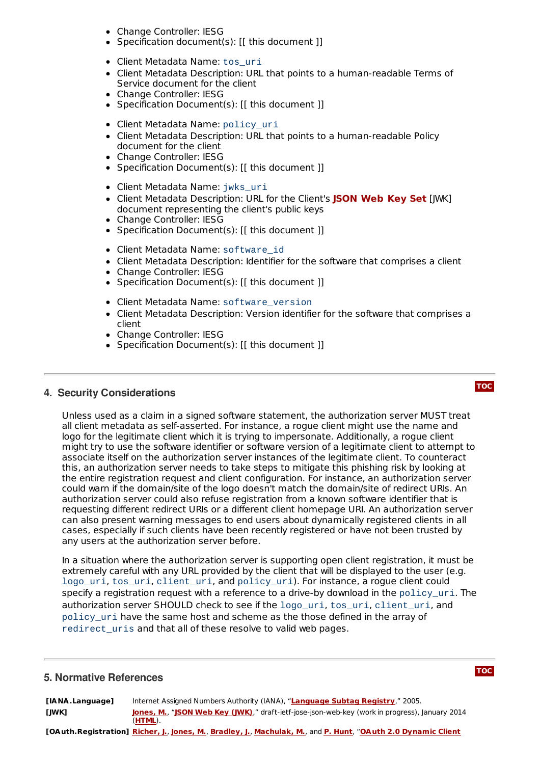- Change Controller: IESG
- Specification document(s): [[ this document ]]
- Client Metadata Name: tos\_uri
- Client Metadata Description: URL that points to a human-readable Terms of Service document for the client
- Change Controller: IESG
- Specification Document(s): [[ this document ]]
- Client Metadata Name: policy\_uri
- Client Metadata Description: URL that points to a human-readable Policy document for the client
- Change Controller: IESG
- Specification Document(s): [[ this document ]]
- Client Metadata Name: jwks\_uri
- Client Metadata Description: URL for the Client's [JWK] **[JSON](#page-4-3) Web Key Set**document representing the client's public keys
- Change Controller: IESG
- Specification Document(s): [[ this document ]]
- Client Metadata Name: software\_id
- Client Metadata Description: Identifier for the software that comprises a client
- Change Controller: IESG
- Specification Document(s): [[ this document ]]
- Client Metadata Name: software\_version
- Client Metadata Description: Version identifier for the software that comprises a client
- Change Controller: IESG
- Specification Document(s): [[ this document ]]

#### <span id="page-4-0"></span>**4. Security Considerations**

**[TOC](#page-0-0)**

Unless used as a claim in a signed software statement, the authorization server MUST treat all client metadata as self-asserted. For instance, a rogue client might use the name and logo for the legitimate client which it is trying to impersonate. Additionally, a rogue client might try to use the software identifier or software version of a legitimate client to attempt to associate itself on the authorization server instances of the legitimate client. To counteract this, an authorization server needs to take steps to mitigate this phishing risk by looking at the entire registration request and client configuration. For instance, an authorization server could warn if the domain/site of the logo doesn't match the domain/site of redirect URIs. An authorization server could also refuse registration from a known software identifier that is requesting different redirect URIs or a different client homepage URI. An authorization server can also present warning messages to end users about dynamically registered clients in all cases, especially if such clients have been recently registered or have not been trusted by any users at the authorization server before.

In a situation where the authorization server is supporting open client registration, it must be extremely careful with any URL provided by the client that will be displayed to the user (e.g. logo\_uri, tos\_uri, client\_uri, and policy\_uri). For instance, a rogue client could specify a registration request with a reference to a drive-by download in the policy\_uri. The authorization server SHOULD check to see if the logo\_uri, tos\_uri, client\_uri, and policy\_uri have the same host and scheme as the those defined in the array of redirect\_uris and that all of these resolve to valid web pages.

### <span id="page-4-1"></span>**5. Normative References**

**[TOC](#page-0-0)**

<span id="page-4-4"></span><span id="page-4-3"></span>**[IANA.Language]** Internet Assigned Numbers Authority (IANA), "**[Language](http://www.iana.org/assignments/language-subtag-registry) Subtag Registry**," 2005. **[JWK] [Jones,](mailto:mbj@microsoft.com) M.**, "**JSON Web Key [\(JWK\)](http://tools.ietf.org/html/draft-ietf-jose-json-web-key)**," draft-ietf-jose-json-web-key (work in progress), January 2014 (**[HTML](http://tools.ietf.org/html/draft-ietf-jose-json-web-key)**).

<span id="page-4-2"></span>**[OAuth.Registration] [Richer,](mailto:jricher@mitre.org) J.**, **[Jones,](mailto:mbj@microsoft.com) M.**, **[Bradley,](mailto:ve7jtb@ve7jtb.com) J.**, **[Machulak,](mailto:m.p.machulak@ncl.ac.uk) M.**, and **P. [Hunt](mailto:phil.hunt@yahoo.com)**, "**OAuth 2.0 Dynamic Client**